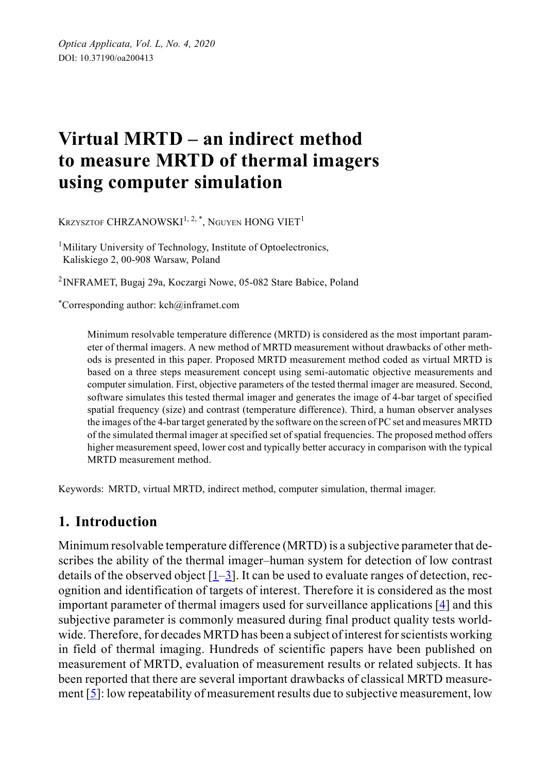# **Virtual MRTD – an indirect method to measure MRTD of thermal imagers using computer simulation**

KRZYSZTOF CHRZANOWSKI<sup>1, 2, \*</sup>, NGUYEN HONG VIET<sup>1</sup>

<sup>1</sup>Military University of Technology, Institute of Optoelectronics, Kaliskiego 2, 00-908 Warsaw, Poland

2INFRAMET, Bugaj 29a, Koczargi Nowe, 05-082 Stare Babice, Poland

\*Corresponding author: kch@inframet.com

Minimum resolvable temperature difference (MRTD) is considered as the most important parameter of thermal imagers. A new method of MRTD measurement without drawbacks of other methods is presented in this paper. Proposed MRTD measurement method coded as virtual MRTD is based on a three steps measurement concept using semi-automatic objective measurements and computer simulation. First, objective parameters of the tested thermal imager are measured. Second, software simulates this tested thermal imager and generates the image of 4-bar target of specified spatial frequency (size) and contrast (temperature difference). Third, a human observer analyses the images of the 4-bar target generated by the software on the screen of PC set and measures MRTD of the simulated thermal imager at specified set of spatial frequencies. The proposed method offers higher measurement speed, lower cost and typically better accuracy in comparison with the typical MRTD measurement method.

Keywords: MRTD, virtual MRTD, indirect method, computer simulation, thermal imager.

### **1. Introduction**

Minimum resolvable temperature difference (MRTD) is a subjective parameter that describes the ability of the thermal imager–human system for detection of low contrast details of the observed object  $[1-3]$  $[1-3]$ . It can be used to evaluate ranges of detection, recognition and identification of targets of interest. Therefore it is considered as the most important parameter of thermal imagers used for surveillance applications [[4](#page-16-2)] and this subjective parameter is commonly measured during final product quality tests worldwide. Therefore, for decades MRTD has been a subject of interest for scientists working in field of thermal imaging. Hundreds of scientific papers have been published on measurement of MRTD, evaluation of measurement results or related subjects. It has been reported that there are several important drawbacks of classical MRTD measurement  $[5]$  $[5]$  $[5]$ : low repeatability of measurement results due to subjective measurement, low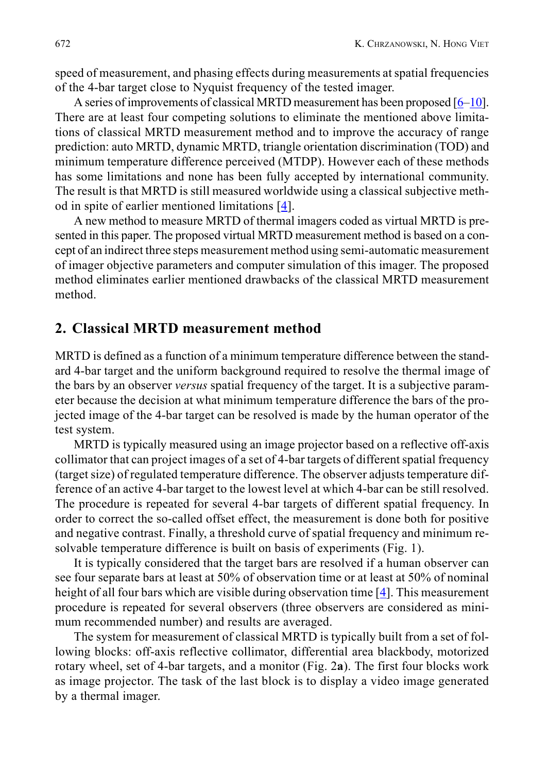speed of measurement, and phasing effects during measurements at spatial frequencies of the 4-bar target close to Nyquist frequency of the tested imager.

A series of improvements of classical MRTD measurement has been proposed  $[6-10]$  $[6-10]$ . There are at least four competing solutions to eliminate the mentioned above limitations of classical MRTD measurement method and to improve the accuracy of range prediction: auto MRTD, dynamic MRTD, triangle orientation discrimination (TOD) and minimum temperature difference perceived (MTDP). However each of these methods has some limitations and none has been fully accepted by international community. The result is that MRTD is still measured worldwide using a classical subjective method in spite of earlier mentioned limitations [\[4\]](#page-16-2).

A new method to measure MRTD of thermal imagers coded as virtual MRTD is presented in this paper. The proposed virtual MRTD measurement method is based on a concept of an indirect three steps measurement method using semi-automatic measurement of imager objective parameters and computer simulation of this imager. The proposed method eliminates earlier mentioned drawbacks of the classical MRTD measurement method.

#### **2. Classical MRTD measurement method**

MRTD is defined as a function of a minimum temperature difference between the standard 4-bar target and the uniform background required to resolve the thermal image of the bars by an observer *versus* spatial frequency of the target. It is a subjective parameter because the decision at what minimum temperature difference the bars of the projected image of the 4-bar target can be resolved is made by the human operator of the test system.

MRTD is typically measured using an image projector based on a reflective off-axis collimator that can project images of a set of 4-bar targets of different spatial frequency (target size) of regulated temperature difference. The observer adjusts temperature difference of an active 4-bar target to the lowest level at which 4-bar can be still resolved. The procedure is repeated for several 4-bar targets of different spatial frequency. In order to correct the so-called offset effect, the measurement is done both for positive and negative contrast. Finally, a threshold curve of spatial frequency and minimum resolvable temperature difference is built on basis of experiments (Fig. 1).

It is typically considered that the target bars are resolved if a human observer can see four separate bars at least at 50% of observation time or at least at 50% of nominal height of all four bars which are visible during observation time  $[4]$ . This measurement procedure is repeated for several observers (three observers are considered as minimum recommended number) and results are averaged.

The system for measurement of classical MRTD is typically built from a set of following blocks: off-axis reflective collimator, differential area blackbody, motorized rotary wheel, set of 4-bar targets, and a monitor (Fig. 2**a**). The first four blocks work as image projector. The task of the last block is to display a video image generated by a thermal imager.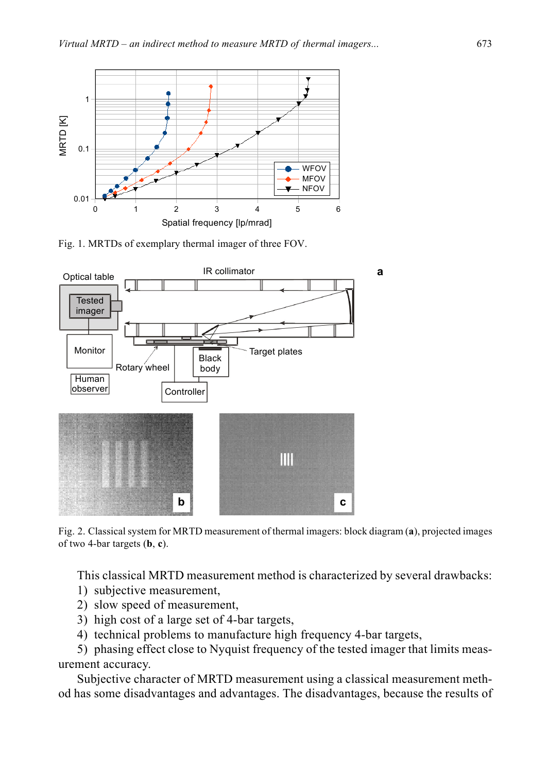

Fig. 1. MRTDs of exemplary thermal imager of three FOV.



Fig. 2. Classical system for MRTD measurement of thermal imagers: block diagram (**a**), projected images of two 4-bar targets (**b**, **c**).

This classical MRTD measurement method is characterized by several drawbacks:

- 1) subjective measurement,
- 2) slow speed of measurement,
- 3) high cost of a large set of 4-bar targets,
- 4) technical problems to manufacture high frequency 4-bar targets,

5) phasing effect close to Nyquist frequency of the tested imager that limits measurement accuracy.

Subjective character of MRTD measurement using a classical measurement method has some disadvantages and advantages. The disadvantages, because the results of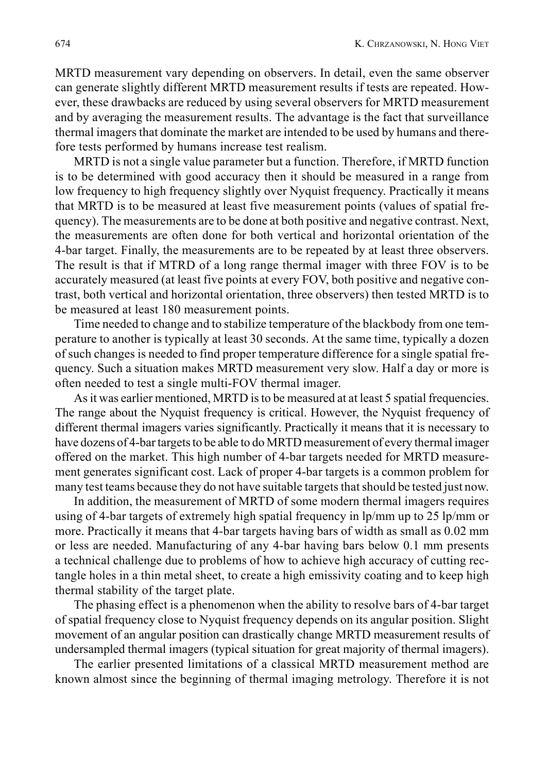MRTD measurement vary depending on observers. In detail, even the same observer can generate slightly different MRTD measurement results if tests are repeated. However, these drawbacks are reduced by using several observers for MRTD measurement and by averaging the measurement results. The advantage is the fact that surveillance thermal imagers that dominate the market are intended to be used by humans and therefore tests performed by humans increase test realism.

MRTD is not a single value parameter but a function. Therefore, if MRTD function is to be determined with good accuracy then it should be measured in a range from low frequency to high frequency slightly over Nyquist frequency. Practically it means that MRTD is to be measured at least five measurement points (values of spatial frequency). The measurements are to be done at both positive and negative contrast. Next, the measurements are often done for both vertical and horizontal orientation of the 4-bar target. Finally, the measurements are to be repeated by at least three observers. The result is that if MTRD of a long range thermal imager with three FOV is to be accurately measured (at least five points at every FOV, both positive and negative contrast, both vertical and horizontal orientation, three observers) then tested MRTD is to be measured at least 180 measurement points.

Time needed to change and to stabilize temperature of the blackbody from one temperature to another is typically at least 30 seconds. At the same time, typically a dozen of such changes is needed to find proper temperature difference for a single spatial frequency. Such a situation makes MRTD measurement very slow. Half a day or more is often needed to test a single multi-FOV thermal imager.

As it was earlier mentioned, MRTD is to be measured at at least 5 spatial frequencies. The range about the Nyquist frequency is critical. However, the Nyquist frequency of different thermal imagers varies significantly. Practically it means that it is necessary to have dozens of 4-bar targets to be able to do MRTD measurement of every thermal imager offered on the market. This high number of 4-bar targets needed for MRTD measurement generates significant cost. Lack of proper 4-bar targets is a common problem for many test teams because they do not have suitable targets that should be tested just now.

In addition, the measurement of MRTD of some modern thermal imagers requires using of 4-bar targets of extremely high spatial frequency in lp/mm up to 25 lp/mm or more. Practically it means that 4-bar targets having bars of width as small as 0.02 mm or less are needed. Manufacturing of any 4-bar having bars below 0.1 mm presents a technical challenge due to problems of how to achieve high accuracy of cutting rectangle holes in a thin metal sheet, to create a high emissivity coating and to keep high thermal stability of the target plate.

The phasing effect is a phenomenon when the ability to resolve bars of 4-bar target of spatial frequency close to Nyquist frequency depends on its angular position. Slight movement of an angular position can drastically change MRTD measurement results of undersampled thermal imagers (typical situation for great majority of thermal imagers).

The earlier presented limitations of a classical MRTD measurement method are known almost since the beginning of thermal imaging metrology. Therefore it is not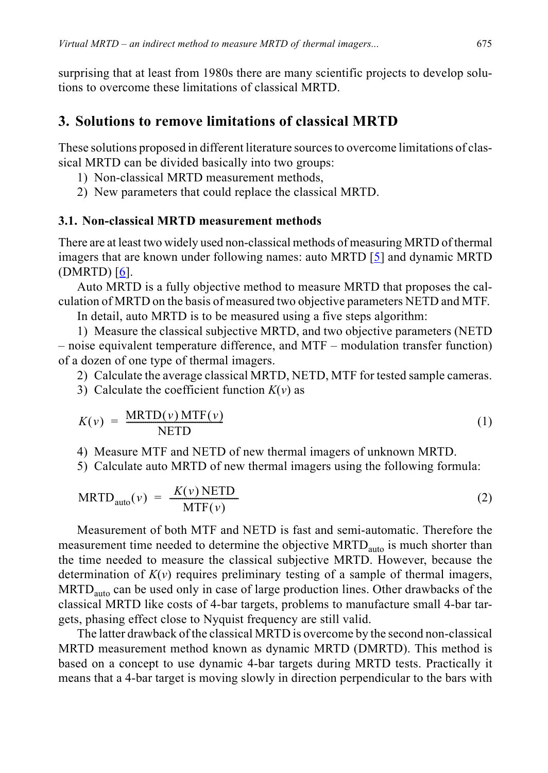surprising that at least from 1980s there are many scientific projects to develop solutions to overcome these limitations of classical MRTD.

### **3. Solutions to remove limitations of classical MRTD**

These solutions proposed in different literature sources to overcome limitations of classical MRTD can be divided basically into two groups:

- 1) Non-classical MRTD measurement methods,
- 2) New parameters that could replace the classical MRTD.

### **3.1. Non-classical MRTD measurement methods**

There are at least two widely used non-classical methods of measuring MRTD of thermal imagers that are known under following names: auto MRTD  $[5]$  and dynamic MRTD (DMRTD) [[6\]](#page-17-1).

Auto MRTD is a fully objective method to measure MRTD that proposes the calculation of MRTD on the basis of measured two objective parameters NETD and MTF.

In detail, auto MRTD is to be measured using a five steps algorithm:

1) Measure the classical subjective MRTD, and two objective parameters (NETD – noise equivalent temperature difference, and MTF – modulation transfer function) of a dozen of one type of thermal imagers.

2) Calculate the average classical MRTD, NETD, MTF for tested sample cameras.

3) Calculate the coefficient function  $K(v)$  as

$$
K(v) = \frac{\text{MRTD}(v) \text{MTF}(v)}{\text{NETD}} \tag{1}
$$

4) Measure MTF and NETD of new thermal imagers of unknown MRTD.

5) Calculate auto MRTD of new thermal imagers using the following formula:

$$
MRTD_{\text{auto}}(v) = \frac{K(v) \text{NETD}}{\text{MTF}(v)}
$$
\n(2)

Measurement of both MTF and NETD is fast and semi-automatic. Therefore the measurement time needed to determine the objective MRTD<sub>auto</sub> is much shorter than the time needed to measure the classical subjective MRTD. However, because the determination of  $K(v)$  requires preliminary testing of a sample of thermal imagers, MRTD<sub>auto</sub> can be used only in case of large production lines. Other drawbacks of the classical MRTD like costs of 4-bar targets, problems to manufacture small 4-bar targets, phasing effect close to Nyquist frequency are still valid.

The latter drawback of the classical MRTD is overcome by the second non-classical MRTD measurement method known as dynamic MRTD (DMRTD). This method is based on a concept to use dynamic 4-bar targets during MRTD tests. Practically it means that a 4-bar target is moving slowly in direction perpendicular to the bars with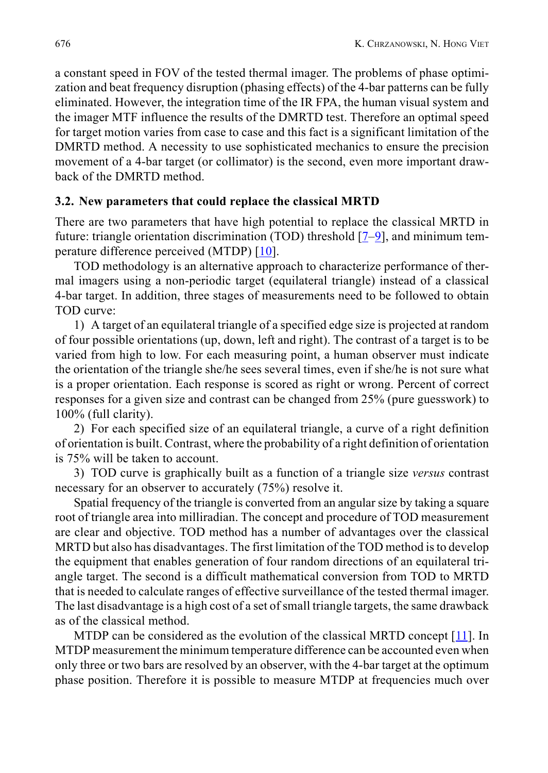a constant speed in FOV of the tested thermal imager. The problems of phase optimization and beat frequency disruption (phasing effects) of the 4-bar patterns can be fully eliminated. However, the integration time of the IR FPA, the human visual system and the imager MTF influence the results of the DMRTD test. Therefore an optimal speed for target motion varies from case to case and this fact is a significant limitation of the DMRTD method. A necessity to use sophisticated mechanics to ensure the precision movement of a 4-bar target (or collimator) is the second, even more important drawback of the DMRTD method.

#### **3.2. New parameters that could replace the classical MRTD**

There are two parameters that have high potential to replace the classical MRTD in future: triangle orientation discrimination (TOD) threshold  $[7-9]$  $[7-9]$  $[7-9]$  $[7-9]$ , and minimum temperature difference perceived (MTDP) [\[10](#page-17-2)].

TOD methodology is an alternative approach to characterize performance of thermal imagers using a non-periodic target (equilateral triangle) instead of a classical 4-bar target. In addition, three stages of measurements need to be followed to obtain TOD curve:

1) A target of an equilateral triangle of a specified edge size is projected at random of four possible orientations (up, down, left and right). The contrast of a target is to be varied from high to low. For each measuring point, a human observer must indicate the orientation of the triangle she/he sees several times, even if she/he is not sure what is a proper orientation. Each response is scored as right or wrong. Percent of correct responses for a given size and contrast can be changed from 25% (pure guesswork) to 100% (full clarity).

2) For each specified size of an equilateral triangle, a curve of a right definition of orientation is built. Contrast, where the probability of a right definition of orientation is 75% will be taken to account.

3) TOD curve is graphically built as a function of a triangle size *versus* contrast necessary for an observer to accurately (75%) resolve it.

Spatial frequency of the triangle is converted from an angular size by taking a square root of triangle area into milliradian. The concept and procedure of TOD measurement are clear and objective. TOD method has a number of advantages over the classical MRTD but also has disadvantages. The first limitation of the TOD method is to develop the equipment that enables generation of four random directions of an equilateral triangle target. The second is a difficult mathematical conversion from TOD to MRTD that is needed to calculate ranges of effective surveillance of the tested thermal imager. The last disadvantage is a high cost of a set of small triangle targets, the same drawback as of the classical method.

MTDP can be considered as the evolution of the classical MRTD concept [[11\]](#page-17-5). In MTDP measurement the minimum temperature difference can be accounted even when only three or two bars are resolved by an observer, with the 4-bar target at the optimum phase position. Therefore it is possible to measure MTDP at frequencies much over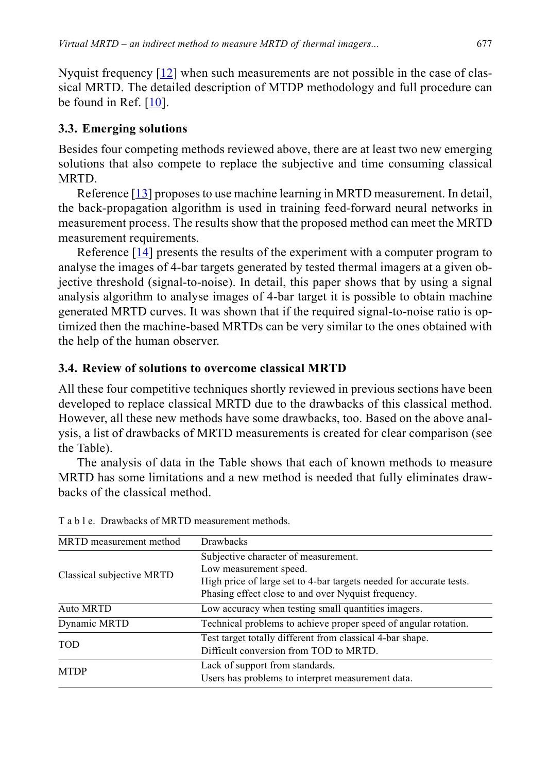Nyquist frequency  $[12]$  $[12]$  when such measurements are not possible in the case of classical MRTD. The detailed description of MTDP methodology and full procedure can be found in Ref. [\[10](#page-17-2)].

### **3.3. Emerging solutions**

Besides four competing methods reviewed above, there are at least two new emerging solutions that also compete to replace the subjective and time consuming classical MRTD.

Reference [\[13](#page-17-7)] proposes to use machine learning in MRTD measurement. In detail, the back-propagation algorithm is used in training feed-forward neural networks in measurement process. The results show that the proposed method can meet the MRTD measurement requirements.

Reference  $[14]$  $[14]$  $[14]$  presents the results of the experiment with a computer program to analyse the images of 4-bar targets generated by tested thermal imagers at a given objective threshold (signal-to-noise). In detail, this paper shows that by using a signal analysis algorithm to analyse images of 4-bar target it is possible to obtain machine generated MRTD curves. It was shown that if the required signal-to-noise ratio is optimized then the machine-based MRTDs can be very similar to the ones obtained with the help of the human observer.

### **3.4. Review of solutions to overcome classical MRTD**

All these four competitive techniques shortly reviewed in previous sections have been developed to replace classical MRTD due to the drawbacks of this classical method. However, all these new methods have some drawbacks, too. Based on the above analysis, a list of drawbacks of MRTD measurements is created for clear comparison (see the Table).

The analysis of data in the Table shows that each of known methods to measure MRTD has some limitations and a new method is needed that fully eliminates drawbacks of the classical method.

| MRTD measurement method   | <b>Drawbacks</b>                                                    |
|---------------------------|---------------------------------------------------------------------|
| Classical subjective MRTD | Subjective character of measurement.                                |
|                           | Low measurement speed.                                              |
|                           | High price of large set to 4-bar targets needed for accurate tests. |
|                           | Phasing effect close to and over Nyquist frequency.                 |
| Auto MRTD                 | Low accuracy when testing small quantities imagers.                 |
| Dynamic MRTD              | Technical problems to achieve proper speed of angular rotation.     |
| <b>TOD</b>                | Test target totally different from classical 4-bar shape.           |
|                           | Difficult conversion from TOD to MRTD.                              |
| <b>MTDP</b>               | Lack of support from standards.                                     |
|                           | Users has problems to interpret measurement data.                   |

T a b l e. Drawbacks of MRTD measurement methods.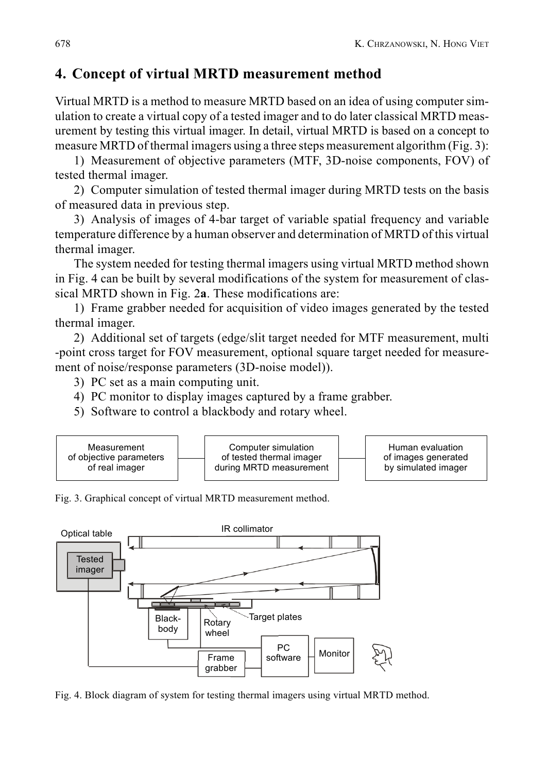## **4. Concept of virtual MRTD measurement method**

Virtual MRTD is a method to measure MRTD based on an idea of using computer simulation to create a virtual copy of a tested imager and to do later classical MRTD measurement by testing this virtual imager. In detail, virtual MRTD is based on a concept to measure MRTD of thermal imagers using a three steps measurement algorithm (Fig. 3):

1) Measurement of objective parameters (MTF, 3D-noise components, FOV) of tested thermal imager.

2) Computer simulation of tested thermal imager during MRTD tests on the basis of measured data in previous step.

3) Analysis of images of 4-bar target of variable spatial frequency and variable temperature difference by a human observer and determination of MRTD of this virtual thermal imager.

The system needed for testing thermal imagers using virtual MRTD method shown in Fig. 4 can be built by several modifications of the system for measurement of classical MRTD shown in Fig. 2**a**. These modifications are:

1) Frame grabber needed for acquisition of video images generated by the tested thermal imager.

2) Additional set of targets (edge/slit target needed for MTF measurement, multi -point cross target for FOV measurement, optional square target needed for measurement of noise/response parameters (3D-noise model)).

3) PC set as a main computing unit.

4) PC monitor to display images captured by a frame grabber.

5) Software to control a blackbody and rotary wheel.



Fig. 3. Graphical concept of virtual MRTD measurement method.



Fig. 4. Block diagram of system for testing thermal imagers using virtual MRTD method.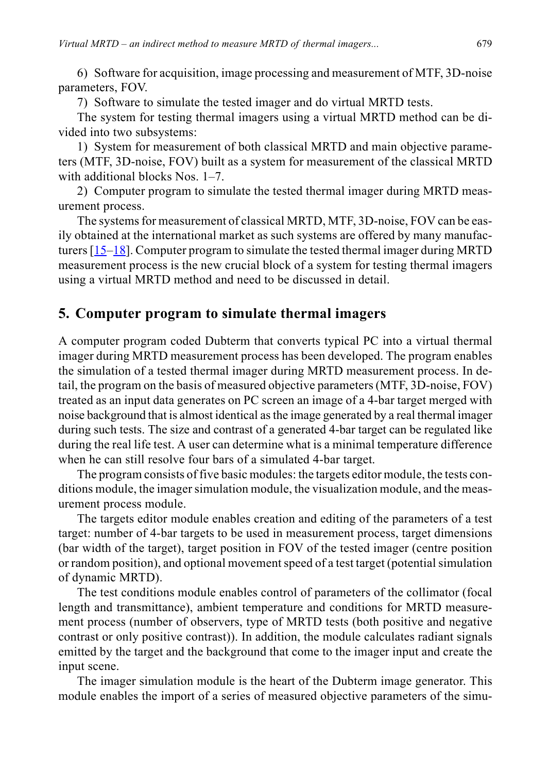6) Software for acquisition, image processing and measurement of MTF, 3D-noise parameters, FOV.

7) Software to simulate the tested imager and do virtual MRTD tests.

The system for testing thermal imagers using a virtual MRTD method can be divided into two subsystems:

1) System for measurement of both classical MRTD and main objective parameters (MTF, 3D-noise, FOV) built as a system for measurement of the classical MRTD with additional blocks Nos. 1–7.

2) Computer program to simulate the tested thermal imager during MRTD measurement process.

The systems for measurement of classical MRTD, MTF, 3D-noise, FOV can be easily obtained at the international market as such systems are offered by many manufacturers  $[15-18]$  $[15-18]$ . Computer program to simulate the tested thermal imager during MRTD measurement process is the new crucial block of a system for testing thermal imagers using a virtual MRTD method and need to be discussed in detail.

### **5. Computer program to simulate thermal imagers**

A computer program coded Dubterm that converts typical PC into a virtual thermal imager during MRTD measurement process has been developed. The program enables the simulation of a tested thermal imager during MRTD measurement process. In detail, the program on the basis of measured objective parameters (MTF, 3D-noise, FOV) treated as an input data generates on PC screen an image of a 4-bar target merged with noise background that is almost identical as the image generated by a real thermal imager during such tests. The size and contrast of a generated 4-bar target can be regulated like during the real life test. A user can determine what is a minimal temperature difference when he can still resolve four bars of a simulated 4-bar target.

The program consists of five basic modules: the targets editor module, the tests conditions module, the imager simulation module, the visualization module, and the measurement process module.

The targets editor module enables creation and editing of the parameters of a test target: number of 4-bar targets to be used in measurement process, target dimensions (bar width of the target), target position in FOV of the tested imager (centre position or random position), and optional movement speed of a test target (potential simulation of dynamic MRTD).

The test conditions module enables control of parameters of the collimator (focal length and transmittance), ambient temperature and conditions for MRTD measurement process (number of observers, type of MRTD tests (both positive and negative contrast or only positive contrast)). In addition, the module calculates radiant signals emitted by the target and the background that come to the imager input and create the input scene.

The imager simulation module is the heart of the Dubterm image generator. This module enables the import of a series of measured objective parameters of the simu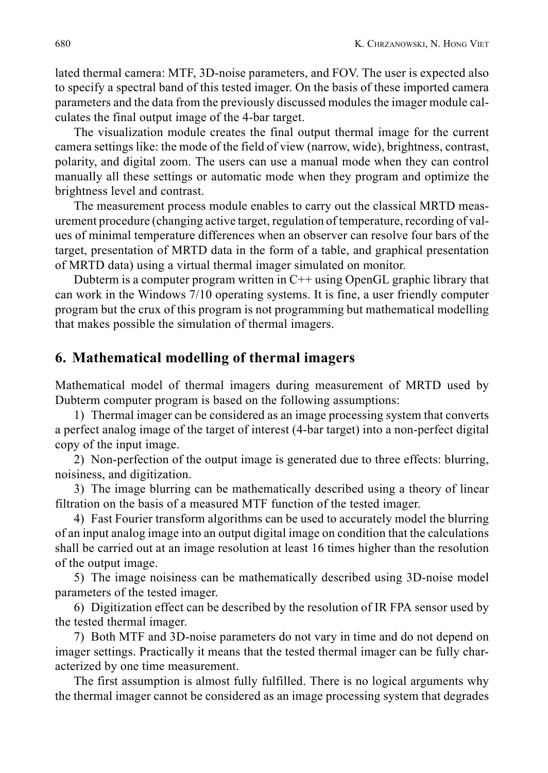lated thermal camera: MTF, 3D-noise parameters, and FOV. The user is expected also to specify a spectral band of this tested imager. On the basis of these imported camera parameters and the data from the previously discussed modules the imager module calculates the final output image of the 4-bar target.

The visualization module creates the final output thermal image for the current camera settings like: the mode of the field of view (narrow, wide), brightness, contrast, polarity, and digital zoom. The users can use a manual mode when they can control manually all these settings or automatic mode when they program and optimize the brightness level and contrast.

The measurement process module enables to carry out the classical MRTD measurement procedure (changing active target, regulation of temperature, recording of values of minimal temperature differences when an observer can resolve four bars of the target, presentation of MRTD data in the form of a table, and graphical presentation of MRTD data) using a virtual thermal imager simulated on monitor.

Dubterm is a computer program written in C++ using OpenGL graphic library that can work in the Windows 7/10 operating systems. It is fine, a user friendly computer program but the crux of this program is not programming but mathematical modelling that makes possible the simulation of thermal imagers.

### **6. Mathematical modelling of thermal imagers**

Mathematical model of thermal imagers during measurement of MRTD used by Dubterm computer program is based on the following assumptions:

1) Thermal imager can be considered as an image processing system that converts a perfect analog image of the target of interest (4-bar target) into a non-perfect digital copy of the input image.

2) Non-perfection of the output image is generated due to three effects: blurring, noisiness, and digitization.

3) The image blurring can be mathematically described using a theory of linear filtration on the basis of a measured MTF function of the tested imager.

4) Fast Fourier transform algorithms can be used to accurately model the blurring of an input analog image into an output digital image on condition that the calculations shall be carried out at an image resolution at least 16 times higher than the resolution of the output image.

5) The image noisiness can be mathematically described using 3D-noise model parameters of the tested imager.

6) Digitization effect can be described by the resolution of IR FPA sensor used by the tested thermal imager.

7) Both MTF and 3D-noise parameters do not vary in time and do not depend on imager settings. Practically it means that the tested thermal imager can be fully characterized by one time measurement.

The first assumption is almost fully fulfilled. There is no logical arguments why the thermal imager cannot be considered as an image processing system that degrades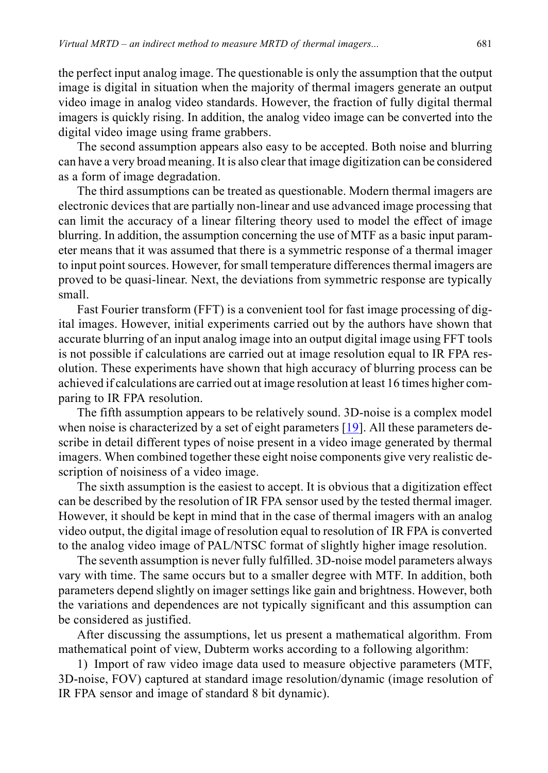the perfect input analog image. The questionable is only the assumption that the output image is digital in situation when the majority of thermal imagers generate an output video image in analog video standards. However, the fraction of fully digital thermal imagers is quickly rising. In addition, the analog video image can be converted into the digital video image using frame grabbers.

The second assumption appears also easy to be accepted. Both noise and blurring can have a very broad meaning. It is also clear that image digitization can be considered as a form of image degradation.

The third assumptions can be treated as questionable. Modern thermal imagers are electronic devices that are partially non-linear and use advanced image processing that can limit the accuracy of a linear filtering theory used to model the effect of image blurring. In addition, the assumption concerning the use of MTF as a basic input parameter means that it was assumed that there is a symmetric response of a thermal imager to input point sources. However, for small temperature differences thermal imagers are proved to be quasi-linear. Next, the deviations from symmetric response are typically small.

Fast Fourier transform (FFT) is a convenient tool for fast image processing of digital images. However, initial experiments carried out by the authors have shown that accurate blurring of an input analog image into an output digital image using FFT tools is not possible if calculations are carried out at image resolution equal to IR FPA resolution. These experiments have shown that high accuracy of blurring process can be achieved if calculations are carried out at image resolution at least 16 times higher comparing to IR FPA resolution.

The fifth assumption appears to be relatively sound. 3D-noise is a complex model when noise is characterized by a set of eight parameters [[19\]](#page-17-11). All these parameters describe in detail different types of noise present in a video image generated by thermal imagers. When combined together these eight noise components give very realistic description of noisiness of a video image.

The sixth assumption is the easiest to accept. It is obvious that a digitization effect can be described by the resolution of IR FPA sensor used by the tested thermal imager. However, it should be kept in mind that in the case of thermal imagers with an analog video output, the digital image of resolution equal to resolution of IR FPA is converted to the analog video image of PAL/NTSC format of slightly higher image resolution.

The seventh assumption is never fully fulfilled. 3D-noise model parameters always vary with time. The same occurs but to a smaller degree with MTF. In addition, both parameters depend slightly on imager settings like gain and brightness. However, both the variations and dependences are not typically significant and this assumption can be considered as justified.

After discussing the assumptions, let us present a mathematical algorithm. From mathematical point of view, Dubterm works according to a following algorithm:

1) Import of raw video image data used to measure objective parameters (MTF, 3D-noise, FOV) captured at standard image resolution/dynamic (image resolution of IR FPA sensor and image of standard 8 bit dynamic).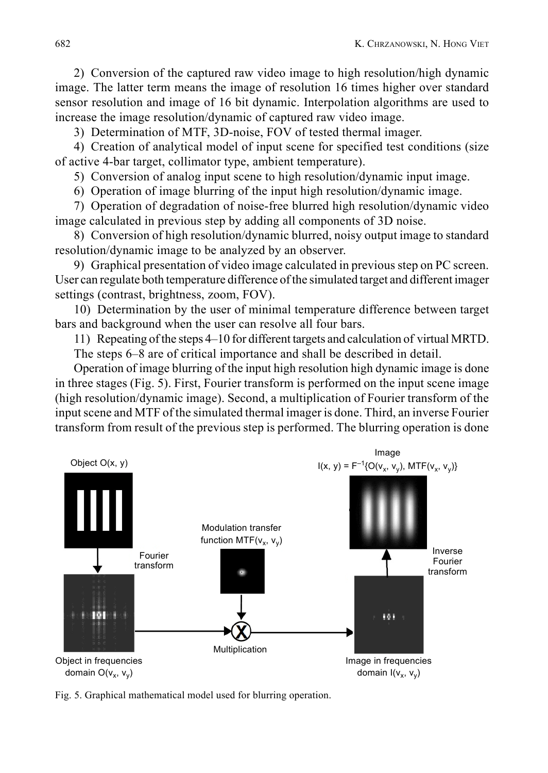2) Conversion of the captured raw video image to high resolution/high dynamic image. The latter term means the image of resolution 16 times higher over standard sensor resolution and image of 16 bit dynamic. Interpolation algorithms are used to increase the image resolution/dynamic of captured raw video image.

3) Determination of MTF, 3D-noise, FOV of tested thermal imager.

4) Creation of analytical model of input scene for specified test conditions (size of active 4-bar target, collimator type, ambient temperature).

5) Conversion of analog input scene to high resolution/dynamic input image.

6) Operation of image blurring of the input high resolution/dynamic image.

7) Operation of degradation of noise-free blurred high resolution/dynamic video image calculated in previous step by adding all components of 3D noise.

8) Conversion of high resolution/dynamic blurred, noisy output image to standard resolution/dynamic image to be analyzed by an observer.

9) Graphical presentation of video image calculated in previous step on PC screen. User can regulate both temperature difference of the simulated target and different imager settings (contrast, brightness, zoom, FOV).

10) Determination by the user of minimal temperature difference between target bars and background when the user can resolve all four bars.

11) Repeating of the steps 4–10 for different targets and calculation of virtual MRTD.

The steps 6–8 are of critical importance and shall be described in detail.

Operation of image blurring of the input high resolution high dynamic image is done in three stages (Fig. 5). First, Fourier transform is performed on the input scene image (high resolution/dynamic image). Second, a multiplication of Fourier transform of the input scene and MTF of the simulated thermal imager is done. Third, an inverse Fourier transform from result of the previous step is performed. The blurring operation is done



Fig. 5. Graphical mathematical model used for blurring operation.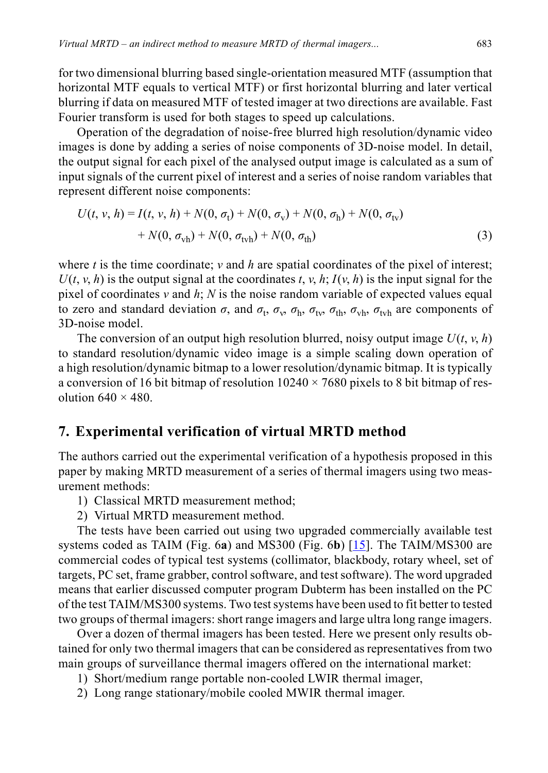for two dimensional blurring based single-orientation measured MTF (assumption that horizontal MTF equals to vertical MTF) or first horizontal blurring and later vertical blurring if data on measured MTF of tested imager at two directions are available. Fast Fourier transform is used for both stages to speed up calculations.

Operation of the degradation of noise-free blurred high resolution/dynamic video images is done by adding a series of noise components of 3D-noise model. In detail, the output signal for each pixel of the analysed output image is calculated as a sum of input signals of the current pixel of interest and a series of noise random variables that represent different noise components:

$$
U(t, v, h) = I(t, v, h) + N(0, \sigma_t) + N(0, \sigma_v) + N(0, \sigma_h) + N(0, \sigma_{tv})
$$
  
+  $N(0, \sigma_{vh}) + N(0, \sigma_{tvh}) + N(0, \sigma_{th})$  (3)

where  $t$  is the time coordinate;  $v$  and  $h$  are spatial coordinates of the pixel of interest;  $U(t, v, h)$  is the output signal at the coordinates  $t, v, h$ ;  $I(v, h)$  is the input signal for the pixel of coordinates *v* and *h*; *N* is the noise random variable of expected values equal to zero and standard deviation  $\sigma$ , and  $\sigma_t$ ,  $\sigma_v$ ,  $\sigma_h$ ,  $\sigma_{tv}$ ,  $\sigma_{th}$ ,  $\sigma_{vh}$ ,  $\sigma_{tvh}$  are components of 3D-noise model.

The conversion of an output high resolution blurred, noisy output image  $U(t, v, h)$ to standard resolution/dynamic video image is a simple scaling down operation of a high resolution/dynamic bitmap to a lower resolution/dynamic bitmap. It is typically a conversion of 16 bit bitmap of resolution  $10240 \times 7680$  pixels to 8 bit bitmap of resolution  $640 \times 480$ .

### **7. Experimental verification of virtual MRTD method**

The authors carried out the experimental verification of a hypothesis proposed in this paper by making MRTD measurement of a series of thermal imagers using two measurement methods:

- 1) Classical MRTD measurement method;
- 2) Virtual MRTD measurement method.

The tests have been carried out using two upgraded commercially available test systems coded as TAIM (Fig. 6**a**) and MS300 (Fig. 6**b**) [[15\]](#page-17-9). The TAIM/MS300 are commercial codes of typical test systems (collimator, blackbody, rotary wheel, set of targets, PC set, frame grabber, control software, and test software). The word upgraded means that earlier discussed computer program Dubterm has been installed on the PC of the test TAIM/MS300 systems. Two test systems have been used to fit better to tested two groups of thermal imagers: short range imagers and large ultra long range imagers.

Over a dozen of thermal imagers has been tested. Here we present only results obtained for only two thermal imagers that can be considered as representatives from two main groups of surveillance thermal imagers offered on the international market:

- 1) Short/medium range portable non-cooled LWIR thermal imager,
- 2) Long range stationary/mobile cooled MWIR thermal imager.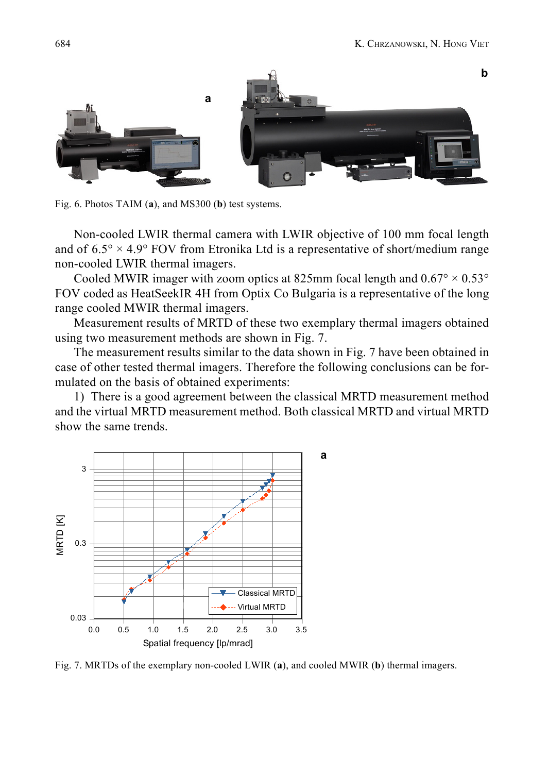

Fig. 6. Photos TAIM (**a**), and MS300 (**b**) test systems.

Non-cooled LWIR thermal camera with LWIR objective of 100 mm focal length and of  $6.5^\circ \times 4.9^\circ$  FOV from Etronika Ltd is a representative of short/medium range non-cooled LWIR thermal imagers.

Cooled MWIR imager with zoom optics at 825mm focal length and  $0.67^{\circ} \times 0.53^{\circ}$ FOV coded as HeatSeekIR 4H from Optix Co Bulgaria is a representative of the long range cooled MWIR thermal imagers.

Measurement results of MRTD of these two exemplary thermal imagers obtained using two measurement methods are shown in Fig. 7.

The measurement results similar to the data shown in Fig. 7 have been obtained in case of other tested thermal imagers. Therefore the following conclusions can be formulated on the basis of obtained experiments:

1) There is a good agreement between the classical MRTD measurement method and the virtual MRTD measurement method. Both classical MRTD and virtual MRTD show the same trends.



Fig. 7. MRTDs of the exemplary non-cooled LWIR (**a**), and cooled MWIR (**b**) thermal imagers.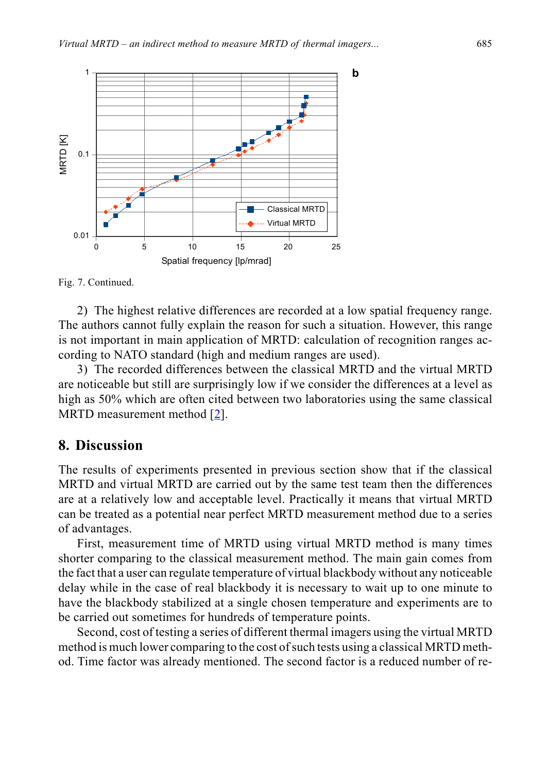



2) The highest relative differences are recorded at a low spatial frequency range. The authors cannot fully explain the reason for such a situation. However, this range is not important in main application of MRTD: calculation of recognition ranges according to NATO standard (high and medium ranges are used).

3) The recorded differences between the classical MRTD and the virtual MRTD are noticeable but still are surprisingly low if we consider the differences at a level as high as 50% which are often cited between two laboratories using the same classical MRTD measurement method [[2](#page-16-3)].

#### **8. Discussion**

The results of experiments presented in previous section show that if the classical MRTD and virtual MRTD are carried out by the same test team then the differences are at a relatively low and acceptable level. Practically it means that virtual MRTD can be treated as a potential near perfect MRTD measurement method due to a series of advantages.

First, measurement time of MRTD using virtual MRTD method is many times shorter comparing to the classical measurement method. The main gain comes from the fact that a user can regulate temperature of virtual blackbody without any noticeable delay while in the case of real blackbody it is necessary to wait up to one minute to have the blackbody stabilized at a single chosen temperature and experiments are to be carried out sometimes for hundreds of temperature points.

Second, cost of testing a series of different thermal imagers using the virtual MRTD method is much lower comparing to the cost of such tests using a classical MRTD method. Time factor was already mentioned. The second factor is a reduced number of re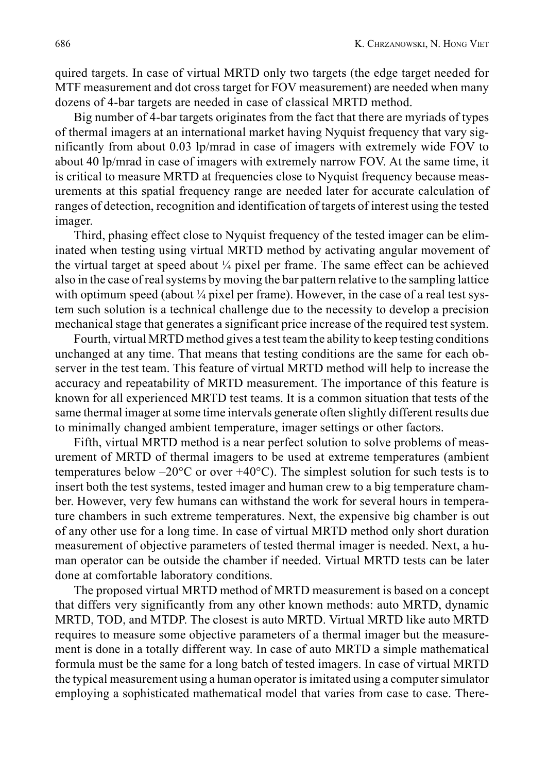quired targets. In case of virtual MRTD only two targets (the edge target needed for MTF measurement and dot cross target for FOV measurement) are needed when many dozens of 4-bar targets are needed in case of classical MRTD method.

Big number of 4-bar targets originates from the fact that there are myriads of types of thermal imagers at an international market having Nyquist frequency that vary significantly from about 0.03 lp/mrad in case of imagers with extremely wide FOV to about 40 lp/mrad in case of imagers with extremely narrow FOV. At the same time, it is critical to measure MRTD at frequencies close to Nyquist frequency because measurements at this spatial frequency range are needed later for accurate calculation of ranges of detection, recognition and identification of targets of interest using the tested imager.

Third, phasing effect close to Nyquist frequency of the tested imager can be eliminated when testing using virtual MRTD method by activating angular movement of the virtual target at speed about ¼ pixel per frame. The same effect can be achieved also in the case of real systems by moving the bar pattern relative to the sampling lattice with optimum speed (about  $\frac{1}{4}$  pixel per frame). However, in the case of a real test system such solution is a technical challenge due to the necessity to develop a precision mechanical stage that generates a significant price increase of the required test system.

Fourth, virtual MRTD method gives a test team the ability to keep testing conditions unchanged at any time. That means that testing conditions are the same for each observer in the test team. This feature of virtual MRTD method will help to increase the accuracy and repeatability of MRTD measurement. The importance of this feature is known for all experienced MRTD test teams. It is a common situation that tests of the same thermal imager at some time intervals generate often slightly different results due to minimally changed ambient temperature, imager settings or other factors.

Fifth, virtual MRTD method is a near perfect solution to solve problems of measurement of MRTD of thermal imagers to be used at extreme temperatures (ambient temperatures below  $-20^{\circ}$ C or over  $+40^{\circ}$ C). The simplest solution for such tests is to insert both the test systems, tested imager and human crew to a big temperature chamber. However, very few humans can withstand the work for several hours in temperature chambers in such extreme temperatures. Next, the expensive big chamber is out of any other use for a long time. In case of virtual MRTD method only short duration measurement of objective parameters of tested thermal imager is needed. Next, a human operator can be outside the chamber if needed. Virtual MRTD tests can be later done at comfortable laboratory conditions.

The proposed virtual MRTD method of MRTD measurement is based on a concept that differs very significantly from any other known methods: auto MRTD, dynamic MRTD, TOD, and MTDP. The closest is auto MRTD. Virtual MRTD like auto MRTD requires to measure some objective parameters of a thermal imager but the measurement is done in a totally different way. In case of auto MRTD a simple mathematical formula must be the same for a long batch of tested imagers. In case of virtual MRTD the typical measurement using a human operator is imitated using a computer simulator employing a sophisticated mathematical model that varies from case to case. There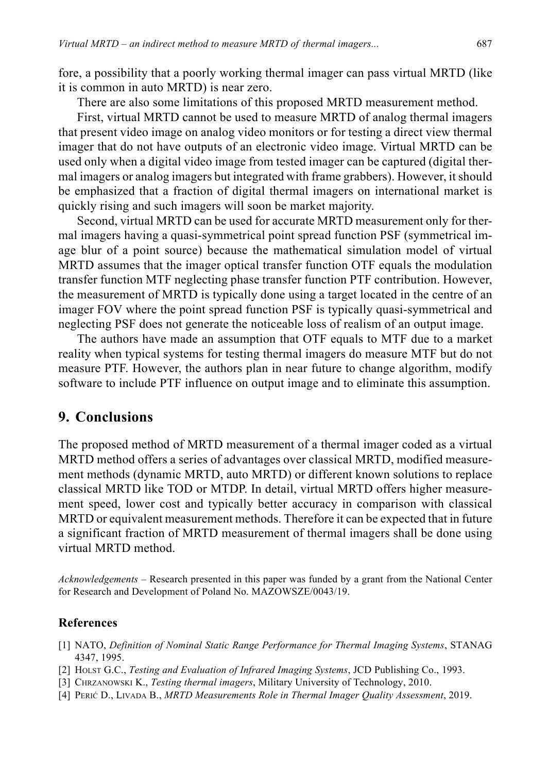fore, a possibility that a poorly working thermal imager can pass virtual MRTD (like it is common in auto MRTD) is near zero.

There are also some limitations of this proposed MRTD measurement method.

First, virtual MRTD cannot be used to measure MRTD of analog thermal imagers that present video image on analog video monitors or for testing a direct view thermal imager that do not have outputs of an electronic video image. Virtual MRTD can be used only when a digital video image from tested imager can be captured (digital thermal imagers or analog imagers but integrated with frame grabbers). However, it should be emphasized that a fraction of digital thermal imagers on international market is quickly rising and such imagers will soon be market majority.

Second, virtual MRTD can be used for accurate MRTD measurement only for thermal imagers having a quasi-symmetrical point spread function PSF (symmetrical image blur of a point source) because the mathematical simulation model of virtual MRTD assumes that the imager optical transfer function OTF equals the modulation transfer function MTF neglecting phase transfer function PTF contribution. However, the measurement of MRTD is typically done using a target located in the centre of an imager FOV where the point spread function PSF is typically quasi-symmetrical and neglecting PSF does not generate the noticeable loss of realism of an output image.

The authors have made an assumption that OTF equals to MTF due to a market reality when typical systems for testing thermal imagers do measure MTF but do not measure PTF. However, the authors plan in near future to change algorithm, modify software to include PTF influence on output image and to eliminate this assumption.

### **9. Conclusions**

The proposed method of MRTD measurement of a thermal imager coded as a virtual MRTD method offers a series of advantages over classical MRTD, modified measurement methods (dynamic MRTD, auto MRTD) or different known solutions to replace classical MRTD like TOD or MTDP. In detail, virtual MRTD offers higher measurement speed, lower cost and typically better accuracy in comparison with classical MRTD or equivalent measurement methods. Therefore it can be expected that in future a significant fraction of MRTD measurement of thermal imagers shall be done using virtual MRTD method.

*Acknowledgements* – Research presented in this paper was funded by a grant from the National Center for Research and Development of Poland No. MAZOWSZE/0043/19.

#### **References**

- <span id="page-16-0"></span>[1] NATO, *Definition of Nominal Static Range Performance for Thermal Imaging Systems*, STANAG 4347, 1995.
- <span id="page-16-3"></span>[2] HOLST G.C., *Testing and Evaluation of Infrared Imaging Systems*, JCD Publishing Co., 1993.
- <span id="page-16-1"></span>[3] CHRZANOWSKI K., *Testing thermal imagers*, Military University of Technology, 2010.
- <span id="page-16-2"></span>[4] PERIĆ D., LIVADA B., *MRTD Measurements Role in Thermal Imager Quality Assessment*, 2019.